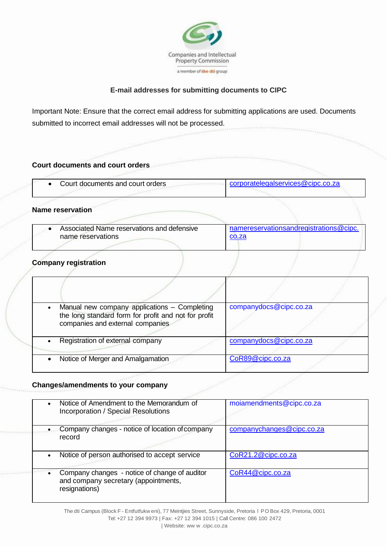

## **E-mail addresses for submitting documents to CIPC**

Important Note: Ensure that the correct email address for submitting applications are used. Documents submitted to incorrect email addresses will not be processed.

| Court documents and court orders<br>corporatelegalservices@cipc.co.za<br>Court documents and court orders<br><b>Name reservation</b><br>namereservationsandregistrations@cipc.<br>Associated Name reservations and defensive<br>name reservations<br>co.za<br><b>Company registration</b><br>companydocs@cipc.co.za<br>Manual new company applications - Completing<br>the long standard form for profit and not for profit<br>companies and external companies<br>Registration of external company<br>companydocs@cipc.co.za | <b>PARAMENTALISMENT</b> |  |
|-------------------------------------------------------------------------------------------------------------------------------------------------------------------------------------------------------------------------------------------------------------------------------------------------------------------------------------------------------------------------------------------------------------------------------------------------------------------------------------------------------------------------------|-------------------------|--|
|                                                                                                                                                                                                                                                                                                                                                                                                                                                                                                                               |                         |  |
|                                                                                                                                                                                                                                                                                                                                                                                                                                                                                                                               |                         |  |
|                                                                                                                                                                                                                                                                                                                                                                                                                                                                                                                               |                         |  |
|                                                                                                                                                                                                                                                                                                                                                                                                                                                                                                                               |                         |  |
|                                                                                                                                                                                                                                                                                                                                                                                                                                                                                                                               |                         |  |
|                                                                                                                                                                                                                                                                                                                                                                                                                                                                                                                               |                         |  |
|                                                                                                                                                                                                                                                                                                                                                                                                                                                                                                                               |                         |  |
|                                                                                                                                                                                                                                                                                                                                                                                                                                                                                                                               |                         |  |
|                                                                                                                                                                                                                                                                                                                                                                                                                                                                                                                               |                         |  |
| CoR89@cipc.co.za<br>Notice of Merger and Amalgamation                                                                                                                                                                                                                                                                                                                                                                                                                                                                         |                         |  |

### **Changes/amendments to your company**

|           | Notice of Amendment to the Memorandum of<br><b>Incorporation / Special Resolutions</b>                 | moiamendments@cipc.co.za  |
|-----------|--------------------------------------------------------------------------------------------------------|---------------------------|
|           | Company changes - notice of location of company<br>record                                              | companychanges@cipc.co.za |
|           | Notice of person authorised to accept service                                                          | CoR21.2@cipc.co.za        |
| $\bullet$ | Company changes - notice of change of auditor<br>and company secretary (appointments,<br>resignations) | CoR44@cipc.co.za          |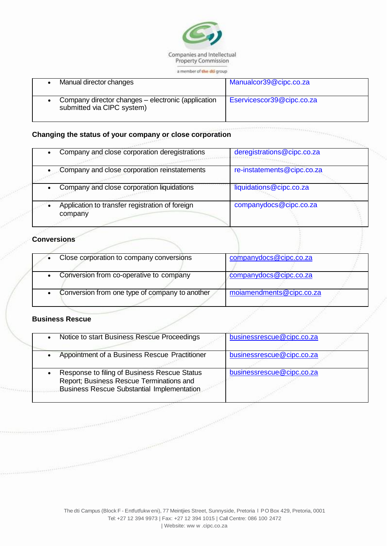

a member of the dti group

| Manual director changes                                                          | Manualcor39@cipc.co.za    |
|----------------------------------------------------------------------------------|---------------------------|
| Company director changes – electronic (application<br>submitted via CIPC system) | Eservicescor39@cipc.co.za |

#### **Changing the status of your company or close corporation**

| Company and close corporation deregistrations              | deregistrations@cipc.co.za |
|------------------------------------------------------------|----------------------------|
|                                                            |                            |
| Company and close corporation reinstatements               | re-instatements@cipc.co.za |
| Company and close corporation liquidations                 | liquidations@cipc.co.za    |
| Application to transfer registration of foreign<br>company | companydocs@cipc.co.za     |

#### **Conversions**

| Close corporation to company conversions       | companydocs@cipc.co.za   |  |
|------------------------------------------------|--------------------------|--|
| Conversion from co-operative to company        | companydocs@cipc.co.za   |  |
| Conversion from one type of company to another | moiamendments@cipc.co.za |  |

#### **Business Rescue**

| Notice to start Business Rescue Proceedings                                                                                                                                                                                                                                                                                                                                                                                                | businessrescue@cipc.co.za |  |
|--------------------------------------------------------------------------------------------------------------------------------------------------------------------------------------------------------------------------------------------------------------------------------------------------------------------------------------------------------------------------------------------------------------------------------------------|---------------------------|--|
| Appointment of a Business Rescue Practitioner                                                                                                                                                                                                                                                                                                                                                                                              | businessrescue@cipc.co.za |  |
| Response to filing of Business Rescue Status<br>Report; Business Rescue Terminations and<br><b>Business Rescue Substantial Implementation</b>                                                                                                                                                                                                                                                                                              | businessrescue@cipc.co.za |  |
| $\label{eq:2.1} \begin{split} &\texttt{V}(\texttt{t}) = \texttt{V}(\texttt{t}) = \texttt{V}(\texttt{t}) = \texttt{V}(\texttt{t}) = \texttt{V}(\texttt{t}) = \texttt{V}(\texttt{t}) = \texttt{V}(\texttt{t}) = \texttt{V}(\texttt{t}) = \texttt{V}(\texttt{t}) = \texttt{V}(\texttt{t}) = \texttt{V}(\texttt{t}) = \texttt{V}(\texttt{t}) = \texttt{V}(\texttt{t}) = \texttt{V}(\texttt{t}) = \texttt{V}(\texttt{t}) = \texttt{V}(\texttt{$ |                           |  |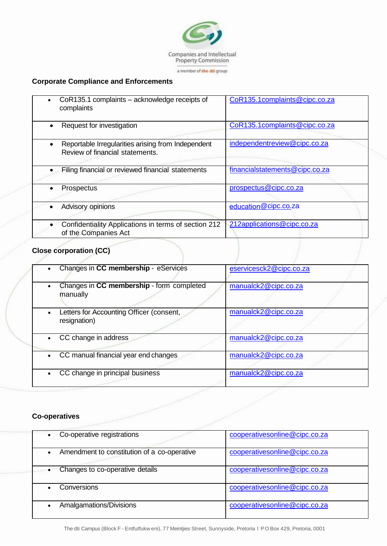

# **Corporate Compliance and Enforcements**

| $\bullet$ | CoR135.1 complaints – acknowledge receipts of<br>complaints                           | CoR135.1complaints@cipc.co.za  |
|-----------|---------------------------------------------------------------------------------------|--------------------------------|
|           | Request for investigation                                                             | CoR135.1complaints@cipc.co.za  |
|           | Reportable Irregularities arising from Independent<br>Review of financial statements. | independentreview@cipc.co.za   |
|           | Filing financial or reviewed financial statements                                     | financialstatements@cipc.co.za |
|           | Prospectus                                                                            | prospectus@cipc.co.za          |
|           | Advisory opinions                                                                     | education@cipc.co.za           |
|           | Confidentiality Applications in terms of section 212<br>of the Companies Act          | 212applications@cipc.co.za     |

# **Close corporation (CC)**

|           | Changes in CC membership - eServices                     | eservicesck2@cipc.co.za |  |
|-----------|----------------------------------------------------------|-------------------------|--|
|           | Changes in CC membership - form completed<br>manually    | manualck2@cipc.co.za    |  |
|           | Letters for Accounting Officer (consent,<br>resignation) | manualck2@cipc.co.za    |  |
|           | CC change in address                                     | manualck2@cipc.co.za    |  |
| $\bullet$ | CC manual financial year end changes                     | manualck2@cipc.co.za    |  |
|           | CC change in principal business                          | manualck2@cipc.co.za    |  |
|           |                                                          |                         |  |
|           | Andreas a contra experience of<br><b>Co-operatives</b>   |                         |  |

### **Co-operatives**

| $\bullet$ | Co-operative registrations                  | cooperativesonline@cipc.co.za |
|-----------|---------------------------------------------|-------------------------------|
| $\bullet$ | Amendment to constitution of a co-operative | cooperativesonline@cipc.co.za |
| $\bullet$ | Changes to co-operative details             | cooperativesonline@cipc.co.za |
|           | Conversions                                 | cooperativesonline@cipc.co.za |
|           | Amalgamations/Divisions                     | cooperativesonline@cipc.co.za |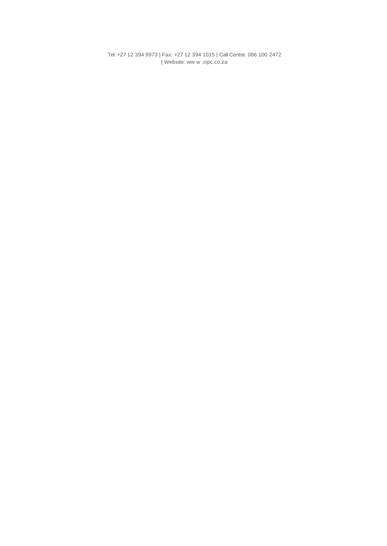Tel: +27 12 394 9973 | Fax: +27 12 394 1015 | Call Centre: 086 100 2472 | Websit[e: ww w .cipc.co.za](http://www.cipc.co.za/)